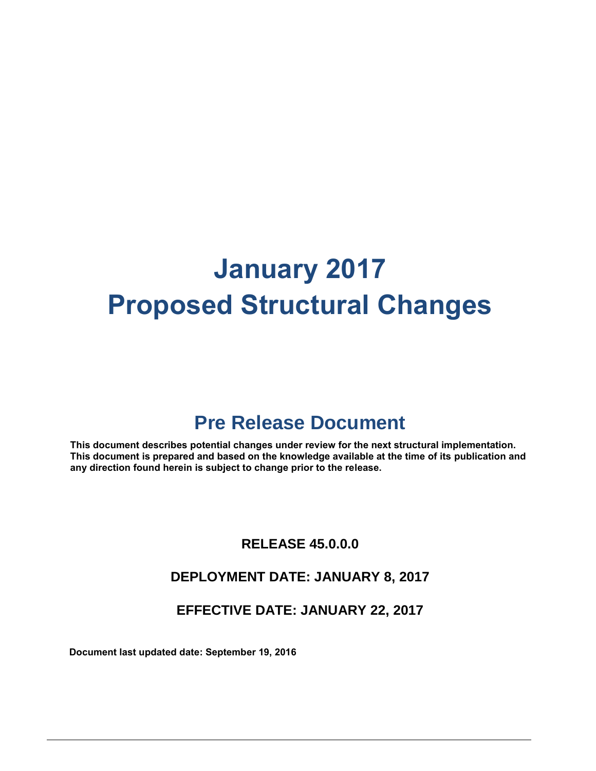# **January 2017 Proposed Structural Changes**

## **Pre Release Document**

**This document describes potential changes under review for the next structural implementation. This document is prepared and based on the knowledge available at the time of its publication and any direction found herein is subject to change prior to the release.**

### **RELEASE 45.0.0.0**

### **DEPLOYMENT DATE: JANUARY 8, 2017**

### **EFFECTIVE DATE: JANUARY 22, 2017**

**Document last updated date: September 19, 2016**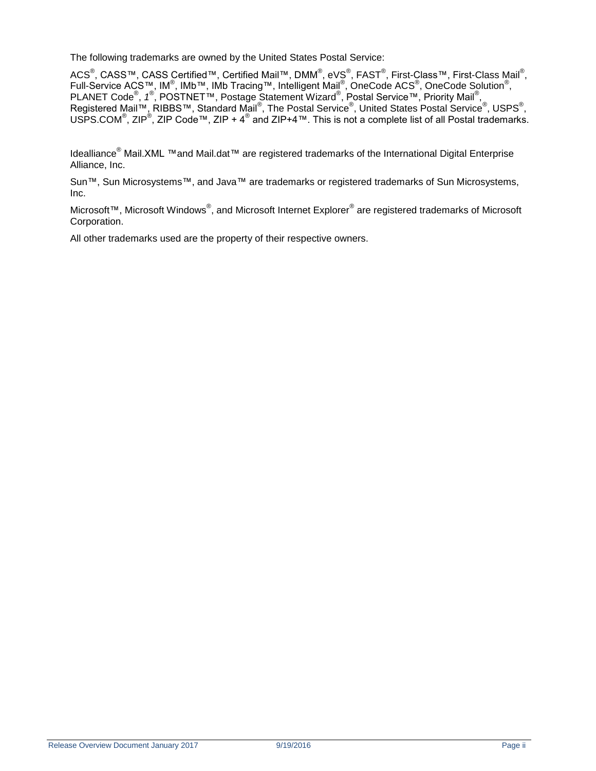The following trademarks are owned by the United States Postal Service:

ACS<sup>®</sup>, CASS™, CASS Certified™, Certified Mail™, DMM<sup>®</sup>, eVS<sup>®</sup>, FAST<sup>®</sup>, First-Class™, First-Class Mail<sup>®</sup>, Full-Service ACS™, IM<sup>®</sup>, IMb™, IMb Tracing™, Intelligent Mail<sup>®</sup>, OneCode ACS<sup>®</sup>, OneCode Solution<sup>®</sup>, PLANET Code<sup>®</sup>, 1<sup>®</sup>, POSTNET™, Postage Statement Wizard<sup>®</sup>, Postal Service™, Priority Mail<sup>®</sup>, Registered Mail™, RIBBS™, Standard Mail®, The Postal Service®, United States Postal Service®, USPS®, USPS.COM<sup>®</sup>, ZIP<sup>®</sup>, ZIP Code™, ZIP + 4<sup>®</sup> and ZIP+4™. This is not a complete list of all Postal trademarks.

Idealliance® Mail.XML ™and Mail.dat™ are registered trademarks of the International Digital Enterprise Alliance, Inc.

Sun™, Sun Microsystems™, and Java™ are trademarks or registered trademarks of Sun Microsystems, Inc.

Microsoft™, Microsoft Windows®, and Microsoft Internet Explorer<sup>®</sup> are registered trademarks of Microsoft Corporation.

All other trademarks used are the property of their respective owners.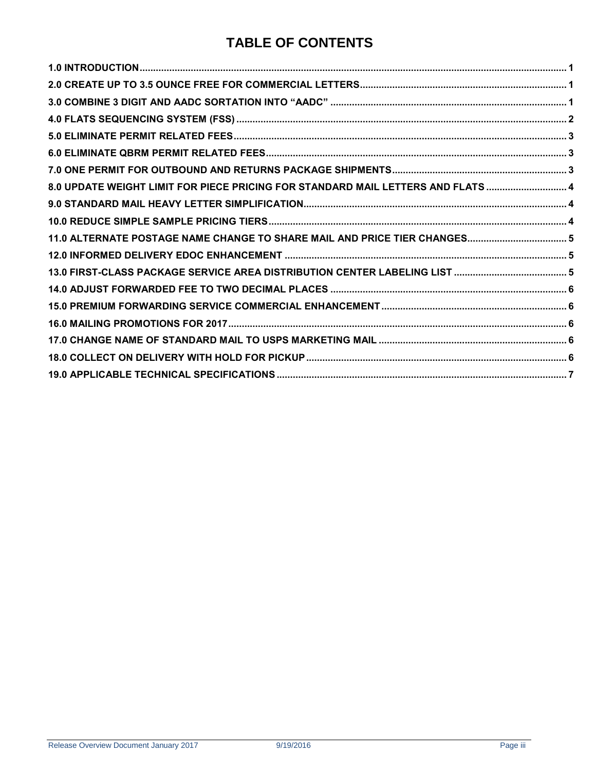### **TABLE OF CONTENTS**

| 8.0 UPDATE WEIGHT LIMIT FOR PIECE PRICING FOR STANDARD MAIL LETTERS AND FLATS  4 |  |
|----------------------------------------------------------------------------------|--|
|                                                                                  |  |
|                                                                                  |  |
| 11.0 ALTERNATE POSTAGE NAME CHANGE TO SHARE MAIL AND PRICE TIER CHANGES 5        |  |
|                                                                                  |  |
|                                                                                  |  |
|                                                                                  |  |
|                                                                                  |  |
|                                                                                  |  |
|                                                                                  |  |
|                                                                                  |  |
|                                                                                  |  |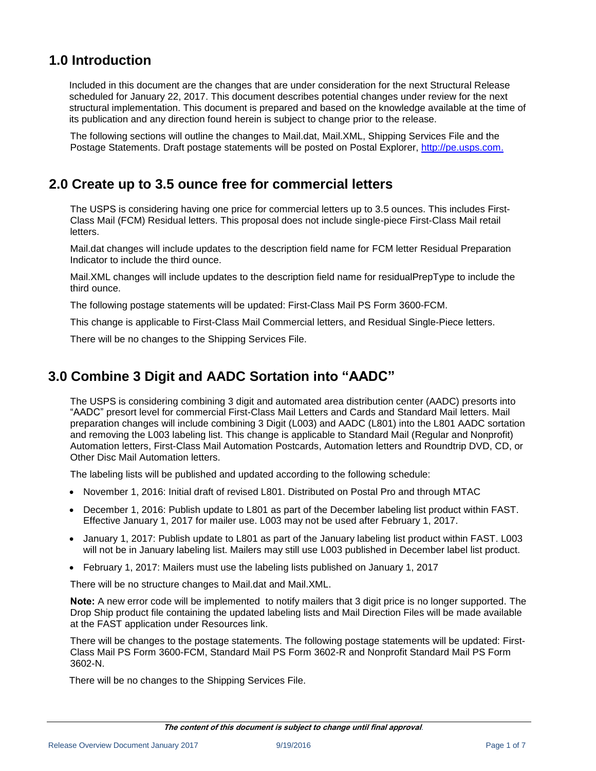### <span id="page-3-0"></span>**1.0 Introduction**

Included in this document are the changes that are under consideration for the next Structural Release scheduled for January 22, 2017. This document describes potential changes under review for the next structural implementation. This document is prepared and based on the knowledge available at the time of its publication and any direction found herein is subject to change prior to the release.

The following sections will outline the changes to Mail.dat, Mail.XML, Shipping Services File and the Postage Statements. Draft postage statements will be posted on Postal Explorer, [http://pe.usps.com.](http://pe.usps.com/)

### <span id="page-3-1"></span>**2.0 Create up to 3.5 ounce free for commercial letters**

The USPS is considering having one price for commercial letters up to 3.5 ounces. This includes First-Class Mail (FCM) Residual letters. This proposal does not include single-piece First-Class Mail retail letters.

Mail.dat changes will include updates to the description field name for FCM letter Residual Preparation Indicator to include the third ounce.

Mail.XML changes will include updates to the description field name for residualPrepType to include the third ounce.

The following postage statements will be updated: First-Class Mail PS Form 3600-FCM.

This change is applicable to First-Class Mail Commercial letters, and Residual Single-Piece letters.

There will be no changes to the Shipping Services File.

### <span id="page-3-2"></span>**3.0 Combine 3 Digit and AADC Sortation into "AADC"**

The USPS is considering combining 3 digit and automated area distribution center (AADC) presorts into "AADC" presort level for commercial First-Class Mail Letters and Cards and Standard Mail letters. Mail preparation changes will include combining 3 Digit (L003) and AADC (L801) into the L801 AADC sortation and removing the L003 labeling list. This change is applicable to Standard Mail (Regular and Nonprofit) Automation letters, First-Class Mail Automation Postcards, Automation letters and Roundtrip DVD, CD, or Other Disc Mail Automation letters.

The labeling lists will be published and updated according to the following schedule:

- November 1, 2016: Initial draft of revised L801. Distributed on Postal Pro and through MTAC
- December 1, 2016: Publish update to L801 as part of the December labeling list product within FAST. Effective January 1, 2017 for mailer use. L003 may not be used after February 1, 2017.
- January 1, 2017: Publish update to L801 as part of the January labeling list product within FAST. L003 will not be in January labeling list. Mailers may still use L003 published in December label list product.
- February 1, 2017: Mailers must use the labeling lists published on January 1, 2017

There will be no structure changes to Mail.dat and Mail.XML.

**Note:** A new error code will be implemented to notify mailers that 3 digit price is no longer supported. The Drop Ship product file containing the updated labeling lists and Mail Direction Files will be made available at the FAST application under Resources link.

There will be changes to the postage statements. The following postage statements will be updated: First-Class Mail PS Form 3600-FCM, Standard Mail PS Form 3602-R and Nonprofit Standard Mail PS Form 3602-N.

There will be no changes to the Shipping Services File.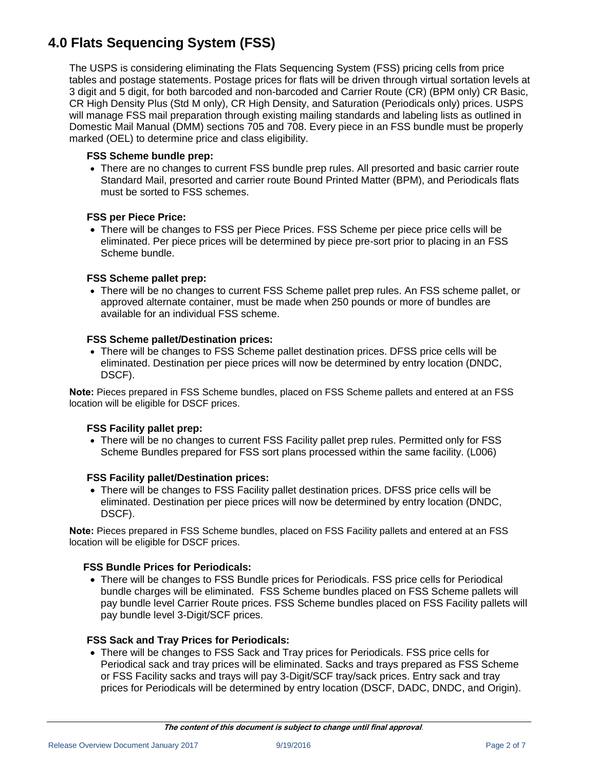### <span id="page-4-0"></span>**4.0 Flats Sequencing System (FSS)**

The USPS is considering eliminating the Flats Sequencing System (FSS) pricing cells from price tables and postage statements. Postage prices for flats will be driven through virtual sortation levels at 3 digit and 5 digit, for both barcoded and non-barcoded and Carrier Route (CR) (BPM only) CR Basic, CR High Density Plus (Std M only), CR High Density, and Saturation (Periodicals only) prices. USPS will manage FSS mail preparation through existing mailing standards and labeling lists as outlined in Domestic Mail Manual (DMM) sections 705 and 708. Every piece in an FSS bundle must be properly marked (OEL) to determine price and class eligibility.

#### **FSS Scheme bundle prep:**

 There are no changes to current FSS bundle prep rules. All presorted and basic carrier route Standard Mail, presorted and carrier route Bound Printed Matter (BPM), and Periodicals flats must be sorted to FSS schemes.

#### **FSS per Piece Price:**

 There will be changes to FSS per Piece Prices. FSS Scheme per piece price cells will be eliminated. Per piece prices will be determined by piece pre-sort prior to placing in an FSS Scheme bundle.

#### **FSS Scheme pallet prep:**

• There will be no changes to current FSS Scheme pallet prep rules. An FSS scheme pallet, or approved alternate container, must be made when 250 pounds or more of bundles are available for an individual FSS scheme.

#### **FSS Scheme pallet/Destination prices:**

• There will be changes to FSS Scheme pallet destination prices. DFSS price cells will be eliminated. Destination per piece prices will now be determined by entry location (DNDC, DSCF).

**Note:** Pieces prepared in FSS Scheme bundles, placed on FSS Scheme pallets and entered at an FSS location will be eligible for DSCF prices.

#### **FSS Facility pallet prep:**

• There will be no changes to current FSS Facility pallet prep rules. Permitted only for FSS Scheme Bundles prepared for FSS sort plans processed within the same facility. (L006)

#### **FSS Facility pallet/Destination prices:**

• There will be changes to FSS Facility pallet destination prices. DFSS price cells will be eliminated. Destination per piece prices will now be determined by entry location (DNDC, DSCF).

**Note:** Pieces prepared in FSS Scheme bundles, placed on FSS Facility pallets and entered at an FSS location will be eligible for DSCF prices.

#### **FSS Bundle Prices for Periodicals:**

 There will be changes to FSS Bundle prices for Periodicals. FSS price cells for Periodical bundle charges will be eliminated. FSS Scheme bundles placed on FSS Scheme pallets will pay bundle level Carrier Route prices. FSS Scheme bundles placed on FSS Facility pallets will pay bundle level 3-Digit/SCF prices.

#### **FSS Sack and Tray Prices for Periodicals:**

 There will be changes to FSS Sack and Tray prices for Periodicals. FSS price cells for Periodical sack and tray prices will be eliminated. Sacks and trays prepared as FSS Scheme or FSS Facility sacks and trays will pay 3-Digit/SCF tray/sack prices. Entry sack and tray prices for Periodicals will be determined by entry location (DSCF, DADC, DNDC, and Origin).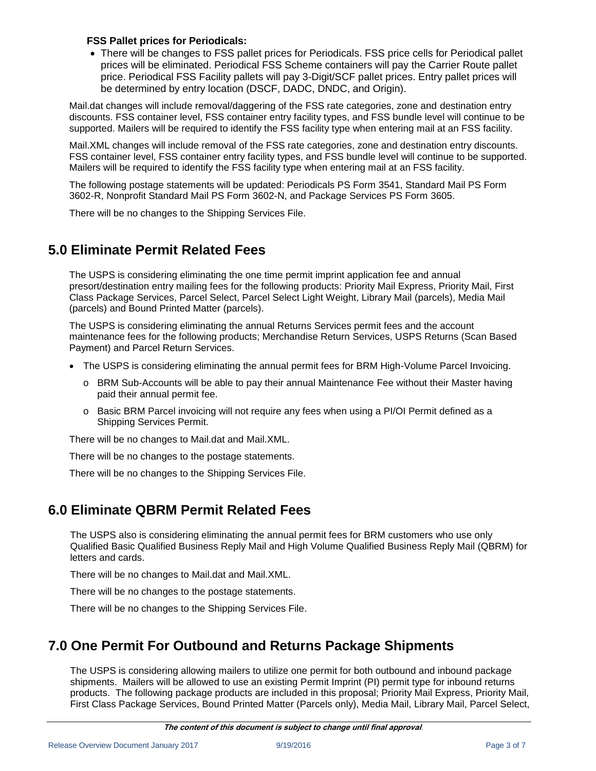#### **FSS Pallet prices for Periodicals:**

 There will be changes to FSS pallet prices for Periodicals. FSS price cells for Periodical pallet prices will be eliminated. Periodical FSS Scheme containers will pay the Carrier Route pallet price. Periodical FSS Facility pallets will pay 3-Digit/SCF pallet prices. Entry pallet prices will be determined by entry location (DSCF, DADC, DNDC, and Origin).

Mail.dat changes will include removal/daggering of the FSS rate categories, zone and destination entry discounts. FSS container level, FSS container entry facility types, and FSS bundle level will continue to be supported. Mailers will be required to identify the FSS facility type when entering mail at an FSS facility.

Mail.XML changes will include removal of the FSS rate categories, zone and destination entry discounts. FSS container level, FSS container entry facility types, and FSS bundle level will continue to be supported. Mailers will be required to identify the FSS facility type when entering mail at an FSS facility.

The following postage statements will be updated: Periodicals PS Form 3541, Standard Mail PS Form 3602-R, Nonprofit Standard Mail PS Form 3602-N, and Package Services PS Form 3605.

There will be no changes to the Shipping Services File.

### <span id="page-5-0"></span>**5.0 Eliminate Permit Related Fees**

The USPS is considering eliminating the one time permit imprint application fee and annual presort/destination entry mailing fees for the following products: Priority Mail Express, Priority Mail, First Class Package Services, Parcel Select, Parcel Select Light Weight, Library Mail (parcels), Media Mail (parcels) and Bound Printed Matter (parcels).

The USPS is considering eliminating the annual Returns Services permit fees and the account maintenance fees for the following products; Merchandise Return Services, USPS Returns (Scan Based Payment) and Parcel Return Services.

- The USPS is considering eliminating the annual permit fees for BRM High-Volume Parcel Invoicing.
	- o BRM Sub-Accounts will be able to pay their annual Maintenance Fee without their Master having paid their annual permit fee.
	- o Basic BRM Parcel invoicing will not require any fees when using a PI/OI Permit defined as a Shipping Services Permit.

There will be no changes to Mail.dat and Mail.XML.

There will be no changes to the postage statements.

There will be no changes to the Shipping Services File.

### <span id="page-5-1"></span>**6.0 Eliminate QBRM Permit Related Fees**

The USPS also is considering eliminating the annual permit fees for BRM customers who use only Qualified Basic Qualified Business Reply Mail and High Volume Qualified Business Reply Mail (QBRM) for letters and cards.

There will be no changes to Mail.dat and Mail.XML.

There will be no changes to the postage statements.

There will be no changes to the Shipping Services File.

### <span id="page-5-2"></span>**7.0 One Permit For Outbound and Returns Package Shipments**

The USPS is considering allowing mailers to utilize one permit for both outbound and inbound package shipments. Mailers will be allowed to use an existing Permit Imprint (PI) permit type for inbound returns products. The following package products are included in this proposal; Priority Mail Express, Priority Mail, First Class Package Services, Bound Printed Matter (Parcels only), Media Mail, Library Mail, Parcel Select,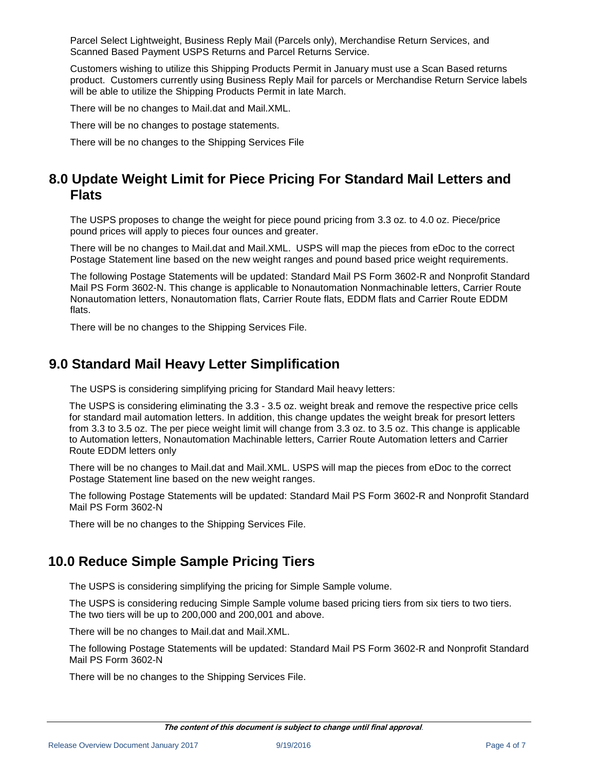Parcel Select Lightweight, Business Reply Mail (Parcels only), Merchandise Return Services, and Scanned Based Payment USPS Returns and Parcel Returns Service.

Customers wishing to utilize this Shipping Products Permit in January must use a Scan Based returns product. Customers currently using Business Reply Mail for parcels or Merchandise Return Service labels will be able to utilize the Shipping Products Permit in late March.

There will be no changes to Mail.dat and Mail.XML.

There will be no changes to postage statements.

There will be no changes to the Shipping Services File

### <span id="page-6-0"></span>**8.0 Update Weight Limit for Piece Pricing For Standard Mail Letters and Flats**

The USPS proposes to change the weight for piece pound pricing from 3.3 oz. to 4.0 oz. Piece/price pound prices will apply to pieces four ounces and greater.

There will be no changes to Mail.dat and Mail.XML. USPS will map the pieces from eDoc to the correct Postage Statement line based on the new weight ranges and pound based price weight requirements.

The following Postage Statements will be updated: Standard Mail PS Form 3602-R and Nonprofit Standard Mail PS Form 3602-N. This change is applicable to Nonautomation Nonmachinable letters, Carrier Route Nonautomation letters, Nonautomation flats, Carrier Route flats, EDDM flats and Carrier Route EDDM flats.

There will be no changes to the Shipping Services File.

### <span id="page-6-1"></span>**9.0 Standard Mail Heavy Letter Simplification**

The USPS is considering simplifying pricing for Standard Mail heavy letters:

The USPS is considering eliminating the 3.3 - 3.5 oz. weight break and remove the respective price cells for standard mail automation letters. In addition, this change updates the weight break for presort letters from 3.3 to 3.5 oz. The per piece weight limit will change from 3.3 oz. to 3.5 oz. This change is applicable to Automation letters, Nonautomation Machinable letters, Carrier Route Automation letters and Carrier Route EDDM letters only

There will be no changes to Mail.dat and Mail.XML. USPS will map the pieces from eDoc to the correct Postage Statement line based on the new weight ranges.

The following Postage Statements will be updated: Standard Mail PS Form 3602-R and Nonprofit Standard Mail PS Form 3602-N

There will be no changes to the Shipping Services File.

### <span id="page-6-2"></span>**10.0 Reduce Simple Sample Pricing Tiers**

The USPS is considering simplifying the pricing for Simple Sample volume.

The USPS is considering reducing Simple Sample volume based pricing tiers from six tiers to two tiers. The two tiers will be up to 200,000 and 200,001 and above.

There will be no changes to Mail.dat and Mail.XML.

The following Postage Statements will be updated: Standard Mail PS Form 3602-R and Nonprofit Standard Mail PS Form 3602-N

There will be no changes to the Shipping Services File.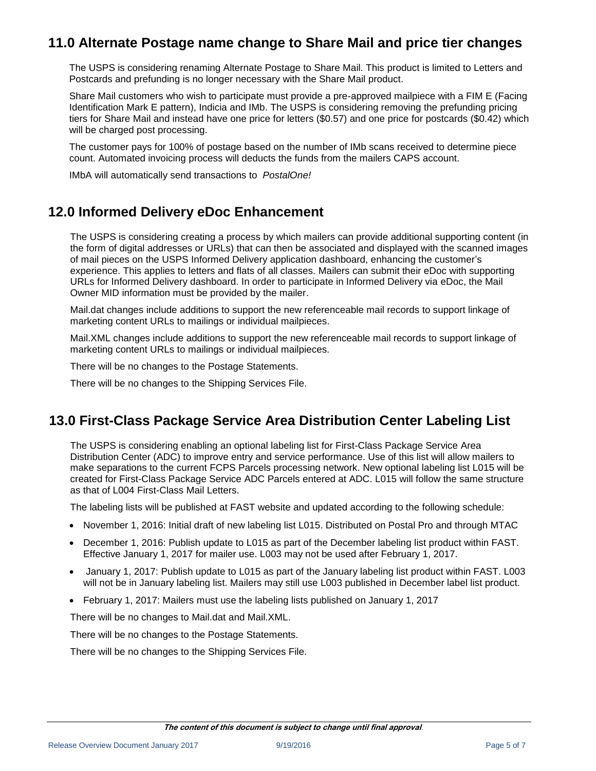### <span id="page-7-0"></span>**11.0 Alternate Postage name change to Share Mail and price tier changes**

The USPS is considering renaming Alternate Postage to Share Mail. This product is limited to Letters and Postcards and prefunding is no longer necessary with the Share Mail product.

Share Mail customers who wish to participate must provide a pre-approved mailpiece with a FIM E (Facing Identification Mark E pattern), Indicia and IMb. The USPS is considering removing the prefunding pricing tiers for Share Mail and instead have one price for letters (\$0.57) and one price for postcards (\$0.42) which will be charged post processing.

The customer pays for 100% of postage based on the number of IMb scans received to determine piece count. Automated invoicing process will deducts the funds from the mailers CAPS account.

IMbA will automatically send transactions to *PostalOne!*

### <span id="page-7-1"></span>**12.0 Informed Delivery eDoc Enhancement**

The USPS is considering creating a process by which mailers can provide additional supporting content (in the form of digital addresses or URLs) that can then be associated and displayed with the scanned images of mail pieces on the USPS Informed Delivery application dashboard, enhancing the customer's experience. This applies to letters and flats of all classes. Mailers can submit their eDoc with supporting URLs for Informed Delivery dashboard. In order to participate in Informed Delivery via eDoc, the Mail Owner MID information must be provided by the mailer.

Mail.dat changes include additions to support the new referenceable mail records to support linkage of marketing content URLs to mailings or individual mailpieces.

Mail.XML changes include additions to support the new referenceable mail records to support linkage of marketing content URLs to mailings or individual mailpieces.

There will be no changes to the Postage Statements.

There will be no changes to the Shipping Services File.

### <span id="page-7-2"></span>**13.0 First-Class Package Service Area Distribution Center Labeling List**

The USPS is considering enabling an optional labeling list for First-Class Package Service Area Distribution Center (ADC) to improve entry and service performance. Use of this list will allow mailers to make separations to the current FCPS Parcels processing network. New optional labeling list L015 will be created for First-Class Package Service ADC Parcels entered at ADC. L015 will follow the same structure as that of L004 First-Class Mail Letters.

The labeling lists will be published at FAST website and updated according to the following schedule:

- November 1, 2016: Initial draft of new labeling list L015. Distributed on Postal Pro and through MTAC
- December 1, 2016: Publish update to L015 as part of the December labeling list product within FAST. Effective January 1, 2017 for mailer use. L003 may not be used after February 1, 2017.
- January 1, 2017: Publish update to L015 as part of the January labeling list product within FAST. L003 will not be in January labeling list. Mailers may still use L003 published in December label list product.
- February 1, 2017: Mailers must use the labeling lists published on January 1, 2017

There will be no changes to Mail.dat and Mail.XML.

There will be no changes to the Postage Statements.

There will be no changes to the Shipping Services File.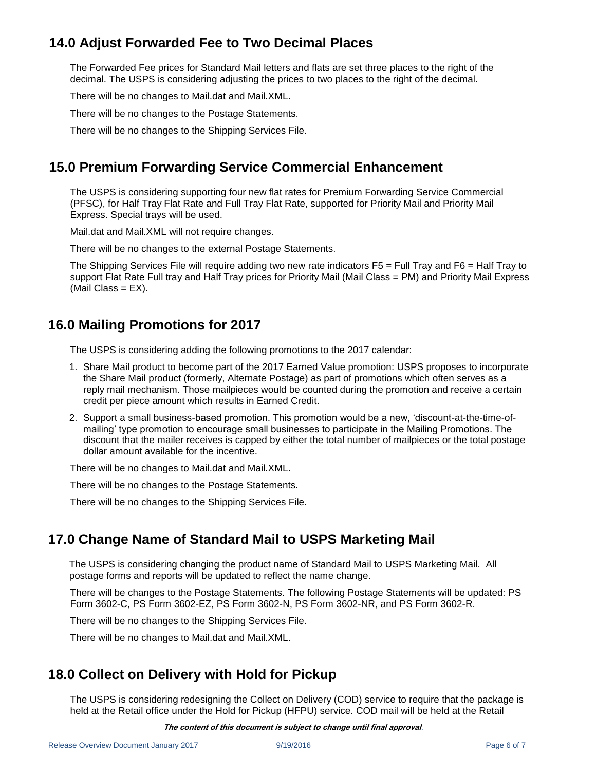### <span id="page-8-0"></span>**14.0 Adjust Forwarded Fee to Two Decimal Places**

The Forwarded Fee prices for Standard Mail letters and flats are set three places to the right of the decimal. The USPS is considering adjusting the prices to two places to the right of the decimal.

There will be no changes to Mail.dat and Mail.XML.

There will be no changes to the Postage Statements.

There will be no changes to the Shipping Services File.

### <span id="page-8-1"></span>**15.0 Premium Forwarding Service Commercial Enhancement**

The USPS is considering supporting four new flat rates for Premium Forwarding Service Commercial (PFSC), for Half Tray Flat Rate and Full Tray Flat Rate, supported for Priority Mail and Priority Mail Express. Special trays will be used.

Mail.dat and Mail.XML will not require changes.

There will be no changes to the external Postage Statements.

The Shipping Services File will require adding two new rate indicators F5 = Full Tray and F6 = Half Tray to support Flat Rate Full tray and Half Tray prices for Priority Mail (Mail Class = PM) and Priority Mail Express  $(Mail Class = EX).$ 

### <span id="page-8-2"></span>**16.0 Mailing Promotions for 2017**

The USPS is considering adding the following promotions to the 2017 calendar:

- 1. Share Mail product to become part of the 2017 Earned Value promotion: USPS proposes to incorporate the Share Mail product (formerly, Alternate Postage) as part of promotions which often serves as a reply mail mechanism. Those mailpieces would be counted during the promotion and receive a certain credit per piece amount which results in Earned Credit.
- 2. Support a small business-based promotion. This promotion would be a new, 'discount-at-the-time-ofmailing' type promotion to encourage small businesses to participate in the Mailing Promotions. The discount that the mailer receives is capped by either the total number of mailpieces or the total postage dollar amount available for the incentive.

There will be no changes to Mail.dat and Mail.XML.

There will be no changes to the Postage Statements.

There will be no changes to the Shipping Services File.

### <span id="page-8-3"></span>**17.0 Change Name of Standard Mail to USPS Marketing Mail**

The USPS is considering changing the product name of Standard Mail to USPS Marketing Mail. All postage forms and reports will be updated to reflect the name change.

There will be changes to the Postage Statements. The following Postage Statements will be updated: PS Form 3602-C, PS Form 3602-EZ, PS Form 3602-N, PS Form 3602-NR, and PS Form 3602-R.

There will be no changes to the Shipping Services File.

There will be no changes to Mail.dat and Mail.XML.

### <span id="page-8-4"></span>**18.0 Collect on Delivery with Hold for Pickup**

The USPS is considering redesigning the Collect on Delivery (COD) service to require that the package is held at the Retail office under the Hold for Pickup (HFPU) service. COD mail will be held at the Retail